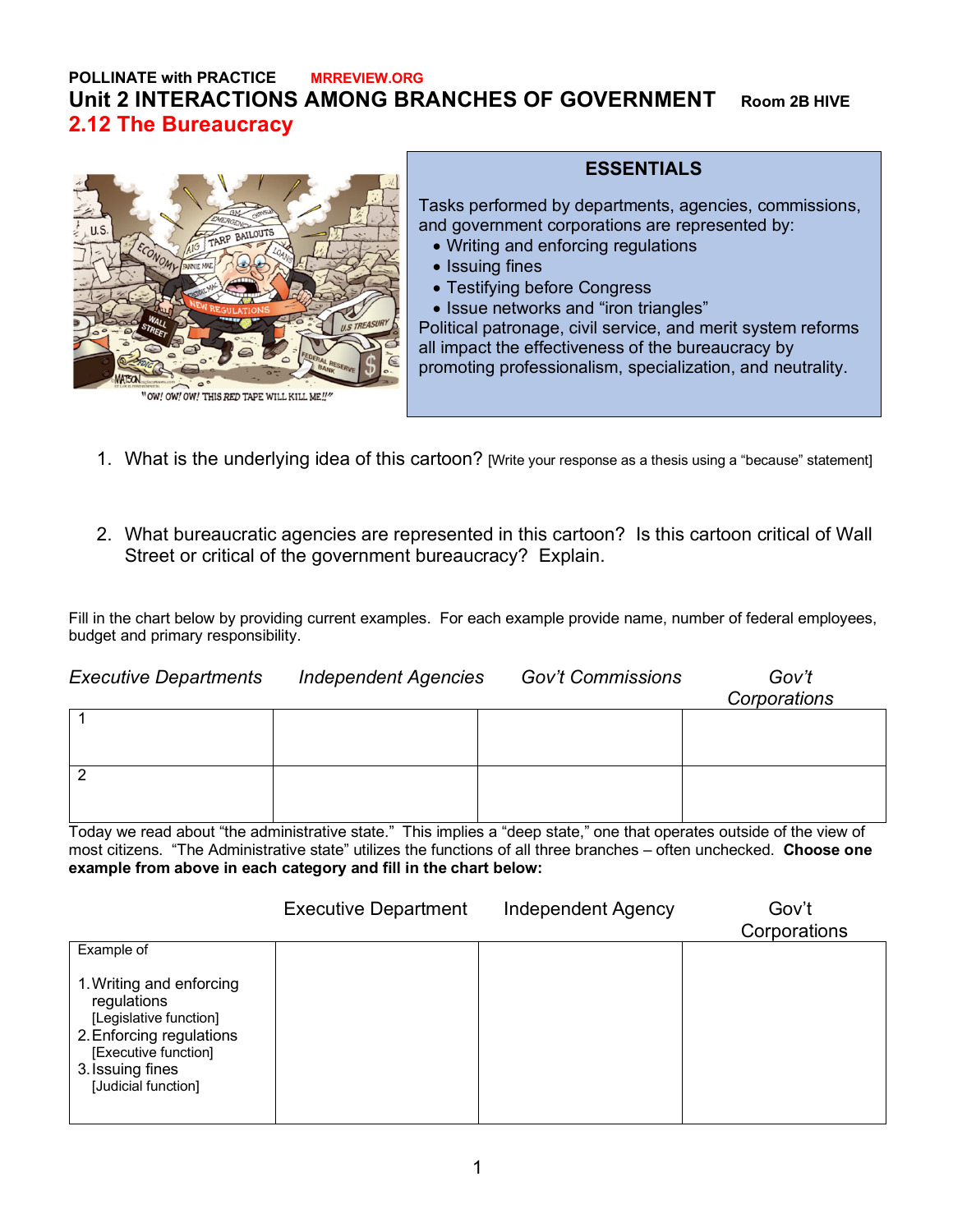## **POLLINATE with PRACTICE MRREVIEW.ORG Unit 2 INTERACTIONS AMONG BRANCHES OF GOVERNMENT Room 2B HIVE 2.12 The Bureaucracy**



"OW! OW! OW! THIS RED TAPE WILL KILL ME!

## **ESSENTIALS**

Tasks performed by departments, agencies, commissions, and government corporations are represented by:

- Writing and enforcing regulations
- Issuing fines
- Testifying before Congress
- Issue networks and "iron triangles"

Political patronage, civil service, and merit system reforms all impact the effectiveness of the bureaucracy by promoting professionalism, specialization, and neutrality.

- 1. What is the underlying idea of this cartoon? [Write your response as a thesis using a "because" statement]
- 2. What bureaucratic agencies are represented in this cartoon? Is this cartoon critical of Wall Street or critical of the government bureaucracy? Explain.

Fill in the chart below by providing current examples. For each example provide name, number of federal employees, budget and primary responsibility.

| <b>Executive Departments</b> | <b>Independent Agencies</b> | <b>Gov't Commissions</b> | Gov't<br>Corporations |
|------------------------------|-----------------------------|--------------------------|-----------------------|
|                              |                             |                          |                       |
|                              |                             |                          |                       |

Today we read about "the administrative state." This implies a "deep state," one that operates outside of the view of most citizens. "The Administrative state" utilizes the functions of all three branches – often unchecked. **Choose one example from above in each category and fill in the chart below:**

|                                                                                                                                                                  | <b>Executive Department</b> | Independent Agency | Gov't<br>Corporations |
|------------------------------------------------------------------------------------------------------------------------------------------------------------------|-----------------------------|--------------------|-----------------------|
| Example of                                                                                                                                                       |                             |                    |                       |
| 1. Writing and enforcing<br>regulations<br>[Legislative function]<br>2. Enforcing regulations<br>[Executive function]<br>3. Issuing fines<br>[Judicial function] |                             |                    |                       |